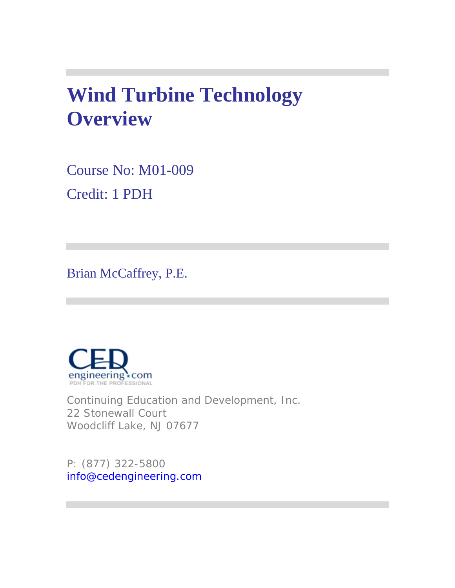## **Wind Turbine Technology Overview**

Course No: M01-009 Credit: 1 PDH

Brian McCaffrey, P.E.



Continuing Education and Development, Inc. 22 Stonewall Court Woodcliff Lake, NJ 07677

P: (877) 322-5800 info@cedengineering.com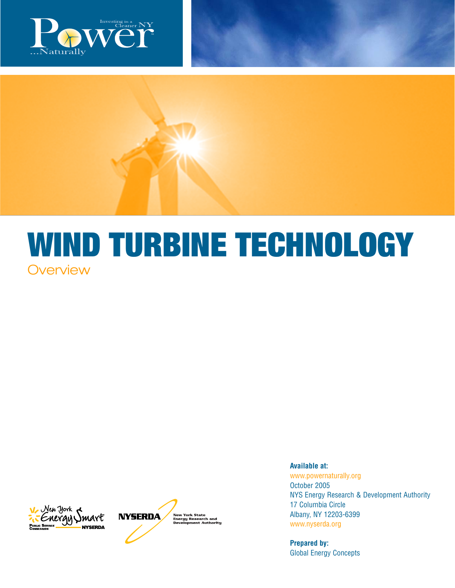

# **WIND TURBINE TECHNOLOGY Overview**





**Available at:**

www.powernaturally.org October 2005 NYS Energy Research & Development Authority 17 Columbia Circle Albany, NY 12203-6399 www.nyserda.org

**Prepared by:** Global Energy Concepts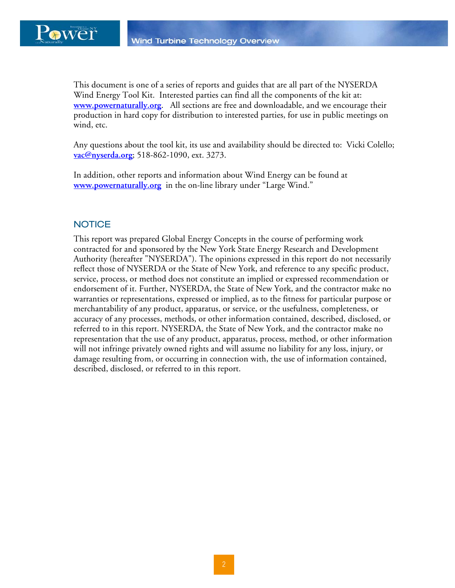

This document is one of a series of reports and guides that are all part of the NYSERDA Wind Energy Tool Kit. Interested parties can find all the components of the kit at: **www.powernaturally.org**. All sections are free and downloadable, and we encourage their production in hard copy for distribution to interested parties, for use in public meetings on wind, etc.

Any questions about the tool kit, its use and availability should be directed to: Vicki Colello; **vac@nyserda.org**; 518-862-1090, ext. 3273.

In addition, other reports and information about Wind Energy can be found at **www.powernaturally.org** in the on-line library under "Large Wind."

#### **NOTICE**

This report was prepared Global Energy Concepts in the course of performing work contracted for and sponsored by the New York State Energy Research and Development Authority (hereafter "NYSERDA"). The opinions expressed in this report do not necessarily reflect those of NYSERDA or the State of New York, and reference to any specific product, service, process, or method does not constitute an implied or expressed recommendation or endorsement of it. Further, NYSERDA, the State of New York, and the contractor make no warranties or representations, expressed or implied, as to the fitness for particular purpose or merchantability of any product, apparatus, or service, or the usefulness, completeness, or accuracy of any processes, methods, or other information contained, described, disclosed, or referred to in this report. NYSERDA, the State of New York, and the contractor make no representation that the use of any product, apparatus, process, method, or other information will not infringe privately owned rights and will assume no liability for any loss, injury, or damage resulting from, or occurring in connection with, the use of information contained, described, disclosed, or referred to in this report.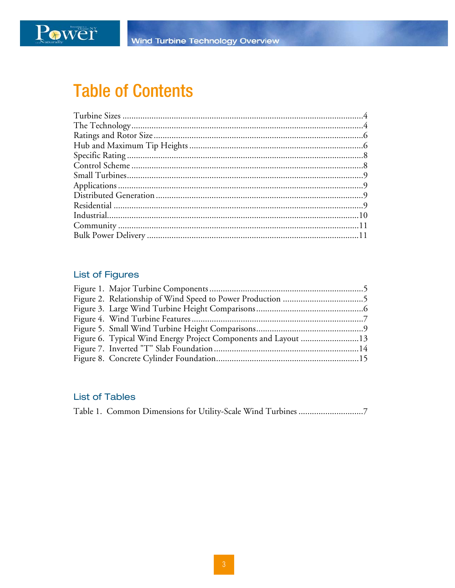

### **Table of Contents**

### **List of Figures**

| Figure 6. Typical Wind Energy Project Components and Layout 13 |  |
|----------------------------------------------------------------|--|
|                                                                |  |
|                                                                |  |

#### **List of Tables**

|--|--|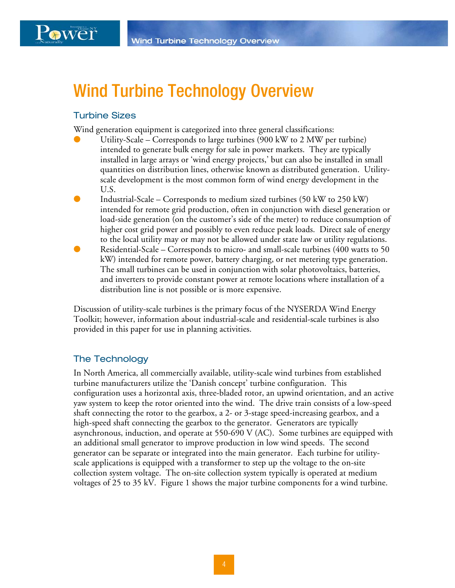### Wind Turbine Technology Overview

#### Turbine Sizes

Power

Wind generation equipment is categorized into three general classifications:

- Utility-Scale Corresponds to large turbines (900 kW to 2 MW per turbine) intended to generate bulk energy for sale in power markets. They are typically installed in large arrays or 'wind energy projects,' but can also be installed in small quantities on distribution lines, otherwise known as distributed generation. Utilityscale development is the most common form of wind energy development in the U.S.
- Industrial-Scale Corresponds to medium sized turbines (50 kW to 250 kW) intended for remote grid production, often in conjunction with diesel generation or load-side generation (on the customer's side of the meter) to reduce consumption of higher cost grid power and possibly to even reduce peak loads. Direct sale of energy to the local utility may or may not be allowed under state law or utility regulations.
- Residential-Scale Corresponds to micro- and small-scale turbines (400 watts to 50 kW) intended for remote power, battery charging, or net metering type generation. The small turbines can be used in conjunction with solar photovoltaics, batteries, and inverters to provide constant power at remote locations where installation of a distribution line is not possible or is more expensive.

Discussion of utility-scale turbines is the primary focus of the NYSERDA Wind Energy Toolkit; however, information about industrial-scale and residential-scale turbines is also provided in this paper for use in planning activities.

#### The Technology

In North America, all commercially available, utility-scale wind turbines from established turbine manufacturers utilize the 'Danish concept' turbine configuration. This configuration uses a horizontal axis, three-bladed rotor, an upwind orientation, and an active yaw system to keep the rotor oriented into the wind. The drive train consists of a low-speed shaft connecting the rotor to the gearbox, a 2- or 3-stage speed-increasing gearbox, and a high-speed shaft connecting the gearbox to the generator. Generators are typically asynchronous, induction, and operate at 550-690 V (AC). Some turbines are equipped with an additional small generator to improve production in low wind speeds. The second generator can be separate or integrated into the main generator. Each turbine for utilityscale applications is equipped with a transformer to step up the voltage to the on-site collection system voltage. The on-site collection system typically is operated at medium voltages of 25 to 35 kV. Figure 1 shows the major turbine components for a wind turbine.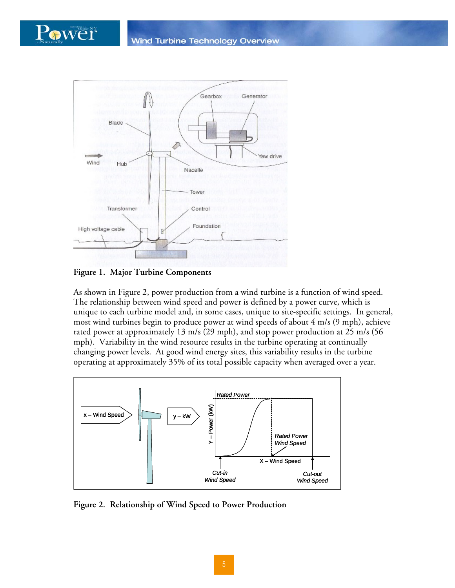

**Figure 1. Major Turbine Components** 

**Awer** 

As shown in Figure 2, power production from a wind turbine is a function of wind speed. The relationship between wind speed and power is defined by a power curve, which is unique to each turbine model and, in some cases, unique to site-specific settings. In general, most wind turbines begin to produce power at wind speeds of about 4 m/s (9 mph), achieve rated power at approximately 13 m/s (29 mph), and stop power production at 25 m/s (56 mph). Variability in the wind resource results in the turbine operating at continually changing power levels. At good wind energy sites, this variability results in the turbine operating at approximately 35% of its total possible capacity when averaged over a year.



**Figure 2. Relationship of Wind Speed to Power Production**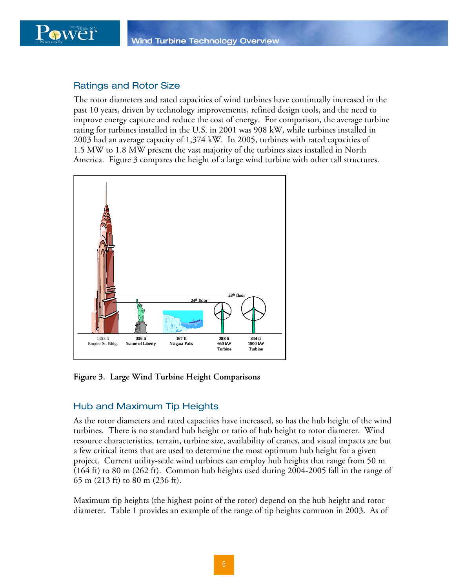

#### Ratings and Rotor Size

The rotor diameters and rated capacities of wind turbines have continually increased in the past 10 years, driven by technology improvements, refined design tools, and the need to improve energy capture and reduce the cost of energy. For comparison, the average turbine rating for turbines installed in the U.S. in 2001 was 908 kW, while turbines installed in 2003 had an average capacity of 1,374 kW. In 2005, turbines with rated capacities of 1.5 MW to 1.8 MW present the vast majority of the turbines sizes installed in North America. Figure 3 compares the height of a large wind turbine with other tall structures.



**Figure 3. Large Wind Turbine Height Comparisons** 

#### Hub and Maximum Tip Heights

As the rotor diameters and rated capacities have increased, so has the hub height of the wind turbines. There is no standard hub height or ratio of hub height to rotor diameter. Wind resource characteristics, terrain, turbine size, availability of cranes, and visual impacts are but a few critical items that are used to determine the most optimum hub height for a given project. Current utility-scale wind turbines can employ hub heights that range from 50 m (164 ft) to 80 m (262 ft). Common hub heights used during 2004-2005 fall in the range of 65 m (213 ft) to 80 m (236 ft).

Maximum tip heights (the highest point of the rotor) depend on the hub height and rotor diameter. Table 1 provides an example of the range of tip heights common in 2003. As of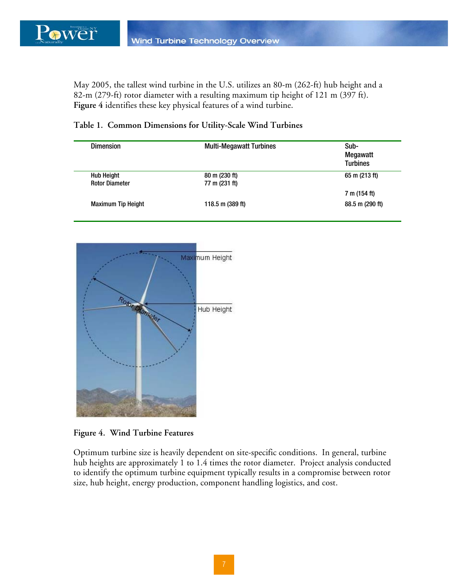

May 2005, the tallest wind turbine in the U.S. utilizes an 80-m (262-ft) hub height and a 82-m (279-ft) rotor diameter with a resulting maximum tip height of 121 m (397 ft). **Figure 4** identifies these key physical features of a wind turbine.

| <b>Dimension</b>                           | <b>Multi-Megawatt Turbines</b>           | Sub-<br>Megawatt<br><b>Turbines</b> |
|--------------------------------------------|------------------------------------------|-------------------------------------|
| <b>Hub Height</b><br><b>Rotor Diameter</b> | $80 \text{ m}$ (230 ft)<br>77 m (231 ft) | 65 m (213 ft)                       |
|                                            |                                          | 7 m (154 ft)                        |
| <b>Maximum Tip Height</b>                  | 118.5 m $(389 ft)$                       | 88.5 m (290 ft)                     |



**Figure 4. Wind Turbine Features** 

Optimum turbine size is heavily dependent on site-specific conditions. In general, turbine hub heights are approximately 1 to 1.4 times the rotor diameter. Project analysis conducted to identify the optimum turbine equipment typically results in a compromise between rotor size, hub height, energy production, component handling logistics, and cost.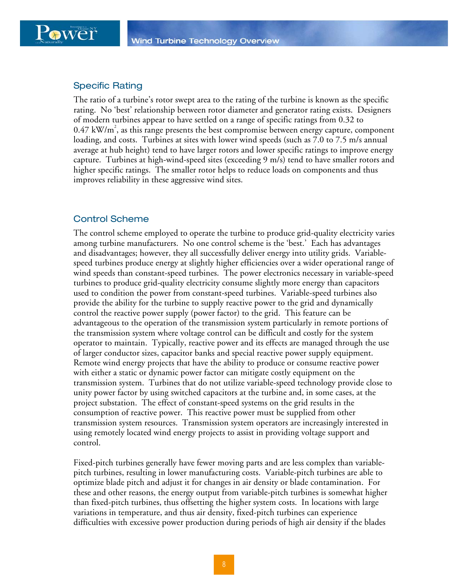

#### Specific Rating

The ratio of a turbine's rotor swept area to the rating of the turbine is known as the specific rating. No 'best' relationship between rotor diameter and generator rating exists. Designers of modern turbines appear to have settled on a range of specific ratings from 0.32 to  $0.47 \text{ kW/m}^2$ , as this range presents the best compromise between energy capture, component loading, and costs. Turbines at sites with lower wind speeds (such as 7.0 to 7.5 m/s annual average at hub height) tend to have larger rotors and lower specific ratings to improve energy capture. Turbines at high-wind-speed sites (exceeding 9 m/s) tend to have smaller rotors and higher specific ratings. The smaller rotor helps to reduce loads on components and thus improves reliability in these aggressive wind sites.

#### Control Scheme

The control scheme employed to operate the turbine to produce grid-quality electricity varies among turbine manufacturers. No one control scheme is the 'best.' Each has advantages and disadvantages; however, they all successfully deliver energy into utility grids. Variablespeed turbines produce energy at slightly higher efficiencies over a wider operational range of wind speeds than constant-speed turbines. The power electronics necessary in variable-speed turbines to produce grid-quality electricity consume slightly more energy than capacitors used to condition the power from constant-speed turbines. Variable-speed turbines also provide the ability for the turbine to supply reactive power to the grid and dynamically control the reactive power supply (power factor) to the grid. This feature can be advantageous to the operation of the transmission system particularly in remote portions of the transmission system where voltage control can be difficult and costly for the system operator to maintain. Typically, reactive power and its effects are managed through the use of larger conductor sizes, capacitor banks and special reactive power supply equipment. Remote wind energy projects that have the ability to produce or consume reactive power with either a static or dynamic power factor can mitigate costly equipment on the transmission system. Turbines that do not utilize variable-speed technology provide close to unity power factor by using switched capacitors at the turbine and, in some cases, at the project substation. The effect of constant-speed systems on the grid results in the consumption of reactive power. This reactive power must be supplied from other transmission system resources. Transmission system operators are increasingly interested in using remotely located wind energy projects to assist in providing voltage support and control.

Fixed-pitch turbines generally have fewer moving parts and are less complex than variablepitch turbines, resulting in lower manufacturing costs. Variable-pitch turbines are able to optimize blade pitch and adjust it for changes in air density or blade contamination. For these and other reasons, the energy output from variable-pitch turbines is somewhat higher than fixed-pitch turbines, thus offsetting the higher system costs. In locations with large variations in temperature, and thus air density, fixed-pitch turbines can experience difficulties with excessive power production during periods of high air density if the blades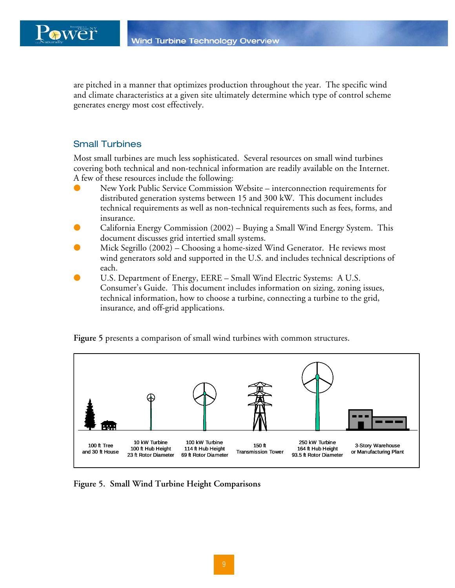

are pitched in a manner that optimizes production throughout the year. The specific wind and climate characteristics at a given site ultimately determine which type of control scheme generates energy most cost effectively.

#### Small Turbines

Most small turbines are much less sophisticated. Several resources on small wind turbines covering both technical and non-technical information are readily available on the Internet. A few of these resources include the following:

- New York Public Service Commission Website interconnection requirements for distributed generation systems between 15 and 300 kW. This document includes technical requirements as well as non-technical requirements such as fees, forms, and insurance.
- California Energy Commission (2002) Buying a Small Wind Energy System. This document discusses grid intertied small systems.
- Mick Segrillo  $(2002)$  Choosing a home-sized Wind Generator. He reviews most wind generators sold and supported in the U.S. and includes technical descriptions of each.
- U.S. Department of Energy, EERE Small Wind Electric Systems: A U.S. Consumer's Guide. This document includes information on sizing, zoning issues, technical information, how to choose a turbine, connecting a turbine to the grid, insurance, and off-grid applications.

**Figure 5** presents a comparison of small wind turbines with common structures.



**Figure 5. Small Wind Turbine Height Comparisons**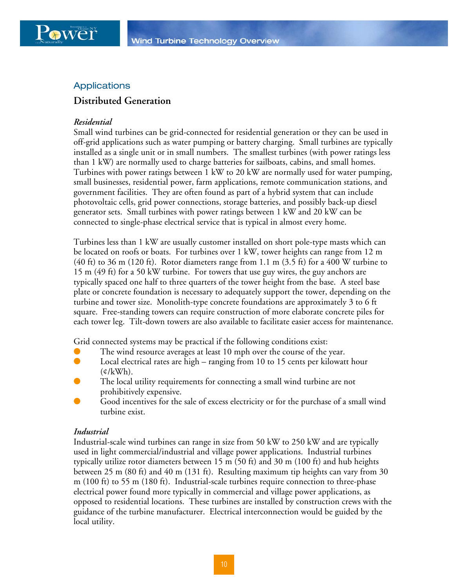

#### Applications

#### **Distributed Generation**

#### *Residential*

Small wind turbines can be grid-connected for residential generation or they can be used in off-grid applications such as water pumping or battery charging. Small turbines are typically installed as a single unit or in small numbers. The smallest turbines (with power ratings less than 1 kW) are normally used to charge batteries for sailboats, cabins, and small homes. Turbines with power ratings between 1 kW to 20 kW are normally used for water pumping, small businesses, residential power, farm applications, remote communication stations, and government facilities. They are often found as part of a hybrid system that can include photovoltaic cells, grid power connections, storage batteries, and possibly back-up diesel generator sets. Small turbines with power ratings between 1 kW and 20 kW can be connected to single-phase electrical service that is typical in almost every home.

Turbines less than 1 kW are usually customer installed on short pole-type masts which can be located on roofs or boats. For turbines over 1 kW, tower heights can range from 12 m  $(40 \text{ ft})$  to 36 m (120 ft). Rotor diameters range from 1.1 m (3.5 ft) for a 400 W turbine to 15 m (49 ft) for a 50 kW turbine. For towers that use guy wires, the guy anchors are typically spaced one half to three quarters of the tower height from the base. A steel base plate or concrete foundation is necessary to adequately support the tower, depending on the turbine and tower size. Monolith-type concrete foundations are approximately 3 to 6 ft square. Free-standing towers can require construction of more elaborate concrete piles for each tower leg. Tilt-down towers are also available to facilitate easier access for maintenance.

Grid connected systems may be practical if the following conditions exist:

- The wind resource averages at least 10 mph over the course of the year.
- Local electrical rates are high ranging from 10 to 15 cents per kilowatt hour  $(\frac{\phi}{kWh})$ .
- The local utility requirements for connecting a small wind turbine are not prohibitively expensive.
- Good incentives for the sale of excess electricity or for the purchase of a small wind turbine exist.

#### *Industrial*

Industrial-scale wind turbines can range in size from 50 kW to 250 kW and are typically used in light commercial/industrial and village power applications. Industrial turbines typically utilize rotor diameters between 15 m (50 ft) and 30 m (100 ft) and hub heights between 25 m (80 ft) and 40 m (131 ft). Resulting maximum tip heights can vary from 30 m (100 ft) to 55 m (180 ft). Industrial-scale turbines require connection to three-phase electrical power found more typically in commercial and village power applications, as opposed to residential locations. These turbines are installed by construction crews with the guidance of the turbine manufacturer. Electrical interconnection would be guided by the local utility.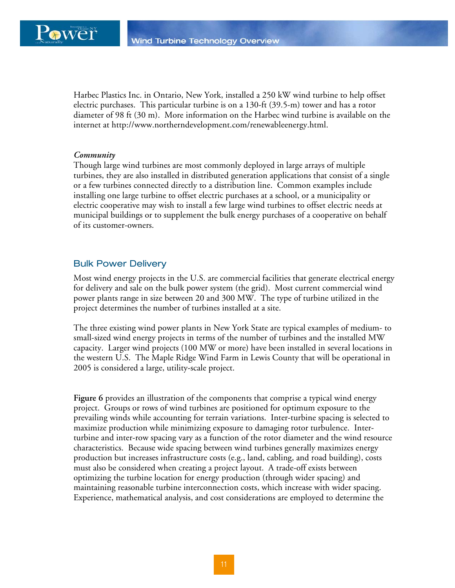

Harbec Plastics Inc. in Ontario, New York, installed a 250 kW wind turbine to help offset electric purchases. This particular turbine is on a 130-ft (39.5-m) tower and has a rotor diameter of 98 ft (30 m). More information on the Harbec wind turbine is available on the internet at http://www.northerndevelopment.com/renewableenergy.html.

#### *Community*

Though large wind turbines are most commonly deployed in large arrays of multiple turbines, they are also installed in distributed generation applications that consist of a single or a few turbines connected directly to a distribution line. Common examples include installing one large turbine to offset electric purchases at a school, or a municipality or electric cooperative may wish to install a few large wind turbines to offset electric needs at municipal buildings or to supplement the bulk energy purchases of a cooperative on behalf of its customer-owners.

#### Bulk Power Delivery

Most wind energy projects in the U.S. are commercial facilities that generate electrical energy for delivery and sale on the bulk power system (the grid). Most current commercial wind power plants range in size between 20 and 300 MW. The type of turbine utilized in the project determines the number of turbines installed at a site.

The three existing wind power plants in New York State are typical examples of medium- to small-sized wind energy projects in terms of the number of turbines and the installed MW capacity. Larger wind projects (100 MW or more) have been installed in several locations in the western U.S. The Maple Ridge Wind Farm in Lewis County that will be operational in 2005 is considered a large, utility-scale project.

**Figure 6** provides an illustration of the components that comprise a typical wind energy project. Groups or rows of wind turbines are positioned for optimum exposure to the prevailing winds while accounting for terrain variations. Inter-turbine spacing is selected to maximize production while minimizing exposure to damaging rotor turbulence. Interturbine and inter-row spacing vary as a function of the rotor diameter and the wind resource characteristics. Because wide spacing between wind turbines generally maximizes energy production but increases infrastructure costs (e.g., land, cabling, and road building), costs must also be considered when creating a project layout. A trade-off exists between optimizing the turbine location for energy production (through wider spacing) and maintaining reasonable turbine interconnection costs, which increase with wider spacing. Experience, mathematical analysis, and cost considerations are employed to determine the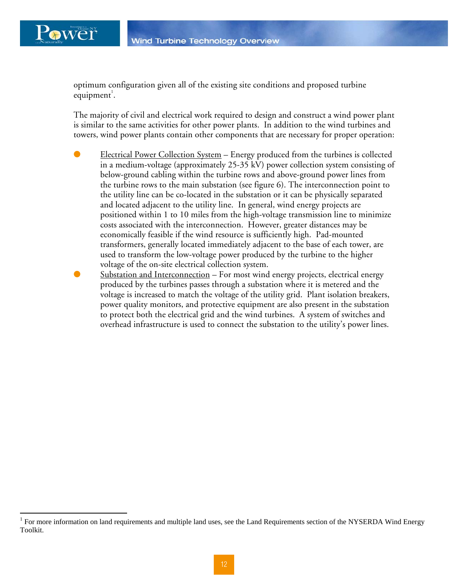

1

optimum configuration given all of the existing site conditions and proposed turbine equipment $^{\rm l}$ .

The majority of civil and electrical work required to design and construct a wind power plant is similar to the same activities for other power plants. In addition to the wind turbines and towers, wind power plants contain other components that are necessary for proper operation:

- Electrical Power Collection System Energy produced from the turbines is collected in a medium-voltage (approximately 25-35 kV) power collection system consisting of below-ground cabling within the turbine rows and above-ground power lines from the turbine rows to the main substation (see figure 6). The interconnection point to the utility line can be co-located in the substation or it can be physically separated and located adjacent to the utility line. In general, wind energy projects are positioned within 1 to 10 miles from the high-voltage transmission line to minimize costs associated with the interconnection. However, greater distances may be economically feasible if the wind resource is sufficiently high. Pad-mounted transformers, generally located immediately adjacent to the base of each tower, are used to transform the low-voltage power produced by the turbine to the higher voltage of the on-site electrical collection system.
- Substation and Interconnection For most wind energy projects, electrical energy produced by the turbines passes through a substation where it is metered and the voltage is increased to match the voltage of the utility grid. Plant isolation breakers, power quality monitors, and protective equipment are also present in the substation to protect both the electrical grid and the wind turbines. A system of switches and overhead infrastructure is used to connect the substation to the utility's power lines.

<sup>&</sup>lt;sup>1</sup> For more information on land requirements and multiple land uses, see the Land Requirements section of the NYSERDA Wind Energy Toolkit.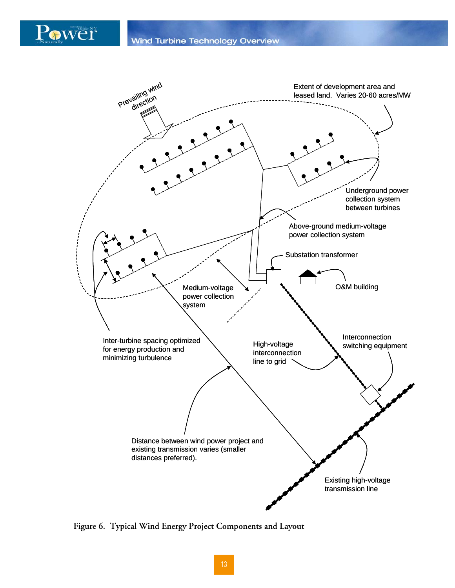



**Figure 6. Typical Wind Energy Project Components and Layout**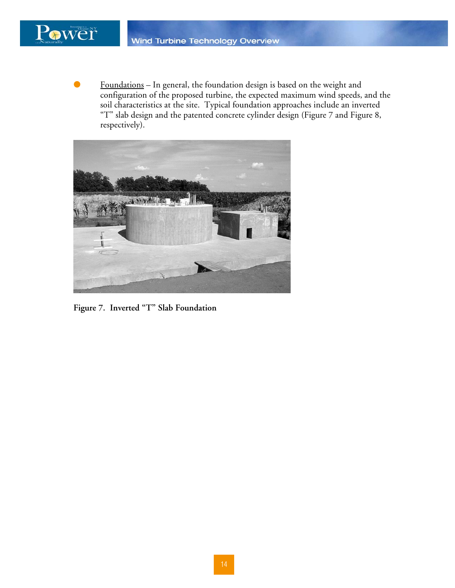Foundations - In general, the foundation design is based on the weight and configuration of the proposed turbine, the expected maximum wind speeds, and the soil characteristics at the site. Typical foundation approaches include an inverted "T" slab design and the patented concrete cylinder design (Figure 7 and Figure 8, respectively).



**Figure 7. Inverted "T" Slab Foundation** 

Power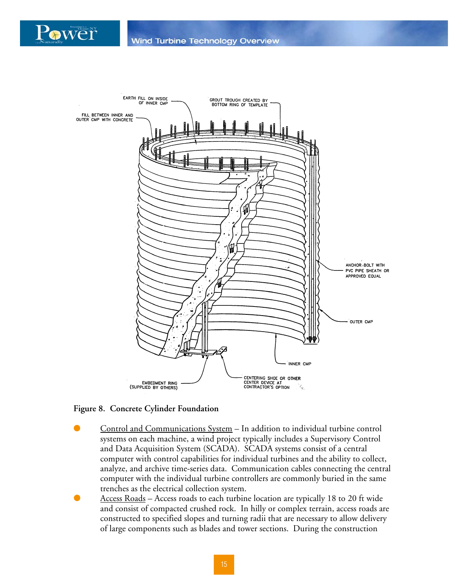



#### **Figure 8. Concrete Cylinder Foundation**

- Control and Communications System In addition to individual turbine control systems on each machine, a wind project typically includes a Supervisory Control and Data Acquisition System (SCADA). SCADA systems consist of a central computer with control capabilities for individual turbines and the ability to collect, analyze, and archive time-series data. Communication cables connecting the central computer with the individual turbine controllers are commonly buried in the same trenches as the electrical collection system.
- Access Roads Access roads to each turbine location are typically 18 to 20 ft wide and consist of compacted crushed rock. In hilly or complex terrain, access roads are constructed to specified slopes and turning radii that are necessary to allow delivery of large components such as blades and tower sections. During the construction